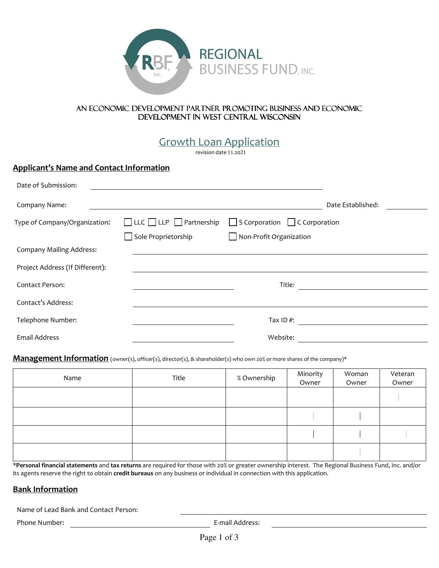

#### An economic development partner promoting business and economic DEVELOPMENT IN WEST CENTRAL WISCONSIN

Growth Loan Application

revision date 11.2021

## Applicant's Name and Contact Information

| Date of Submission:             |                                          |                                           |                   |
|---------------------------------|------------------------------------------|-------------------------------------------|-------------------|
| Company Name:                   |                                          |                                           | Date Established: |
| Type of Company/Organization:   | $\Box$ LLC $\Box$ LLP $\Box$ Partnership | $\Box$ S Corporation $\Box$ C Corporation |                   |
|                                 | Sole Proprietorship                      | Non-Profit Organization                   |                   |
| <b>Company Mailing Address:</b> |                                          |                                           |                   |
| Project Address (If Different): |                                          |                                           |                   |
| Contact Person:                 |                                          | Title:                                    |                   |
| Contact's Address:              |                                          |                                           |                   |
| Telephone Number:               |                                          | Tax ID $#$ :                              |                   |
| Email Address                   |                                          | Website:                                  |                   |

#### Management Information (owner(s), officer(s), director(s), & shareholder(s) who own 20% or more shares of the company)\*

| Name | Title | % Ownership | Minority<br>Owner | Woman<br>Owner | Veteran<br>Owner |
|------|-------|-------------|-------------------|----------------|------------------|
|      |       |             |                   |                |                  |
|      |       |             |                   |                |                  |
|      |       |             |                   |                |                  |
|      |       |             |                   |                |                  |

\*Personal financial statements and tax returns are required for those with 20% or greater ownership interest. The Regional Business Fund, Inc. and/or its agents reserve the right to obtain credit bureaus on any business or individual in connection with this application.

# Bank Information

Name of Lead Bank and Contact Person:

Phone Number: E-mail Address: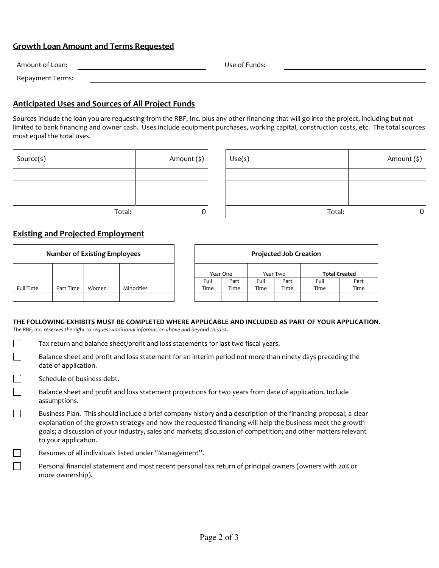## Growth Loan Amount and Terms Requested

| Amount of Loan:  | Use of Funds: |
|------------------|---------------|
| Repayment Terms: |               |

## Anticipated Uses and Sources of All Project Funds

Sources include the loan you are requesting from the RBF, Inc. plus any other financing that will go into the project, including but not limited to bank financing and owner cash. Uses include equipment purchases, working capital, construction costs, etc. The total sources must equal the total uses.

| Source(s) | Amount (\$) |
|-----------|-------------|
|           |             |
|           |             |
|           |             |
| Total:    |             |

| Source(s) | Amount (\$) | Use(s) | Amount (\$) |
|-----------|-------------|--------|-------------|
|           |             |        |             |
|           |             |        |             |
|           |             |        |             |
| Total:    |             | Total: |             |

## Existing and Projected Employment

| <b>Number of Existing Employees</b> |           | <b>Projected Job Creation</b> |            |          |      |          |      |                      |      |
|-------------------------------------|-----------|-------------------------------|------------|----------|------|----------|------|----------------------|------|
|                                     |           |                               |            | Year One |      | Year Two |      | <b>Total Created</b> |      |
|                                     |           |                               |            | Full     | Part | Full     | Part | Full                 | Part |
| Full Time                           | Part Time | Women                         | Minorities | Time     | Time | Time     | Time | Time                 | Time |
|                                     |           |                               |            |          |      |          |      |                      |      |

#### THE FOLLOWING EXHIBITS MUST BE COMPLETED WHERE APPLICABLE AND INCLUDED AS PART OF YOUR APPLICATION. The RBF, Inc. reserves the right to request additional information above and beyond this list.

- $\Box$ Tax return and balance sheet/profit and loss statements for last two fiscal years.
- П Balance sheet and profit and loss statement for an interim period not more than ninety days preceding the date of application.
- Schedule of business debt.
- Balance sheet and profit and loss statement projections for two years from date of application. Include assumptions.
- Business Plan. This should include a brief company history and a description of the financing proposal; a clear explanation of the growth strategy and how the requested financing will help the business meet the growth goals; a discussion of your industry, sales and markets; discussion of competition; and other matters relevant to your application.
	- Resumes of all individuals listed under "Management".
	- Personal financial statement and most recent personal tax return of principal owners (owners with 20% or more ownership).